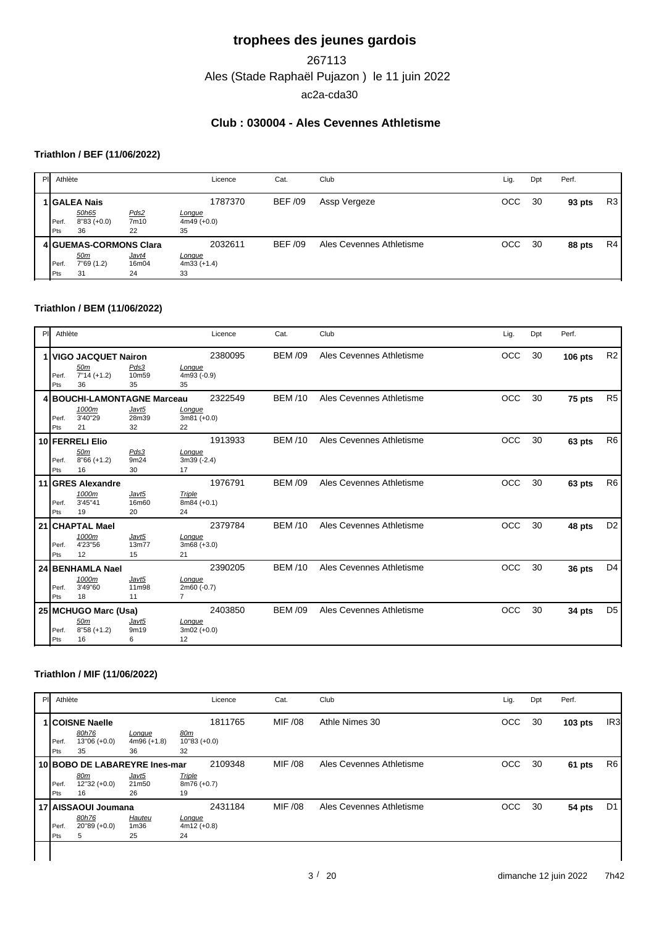# **trophees des jeunes gardois**

Ales (Stade Raphaël Pujazon ) le 11 juin 2022 267113 ac2a-cda30

## **Club : 030004 - Ales Cevennes Athletisme**

## **Triathlon / BEF (11/06/2022)**

| PI Athlète |                         |                | Licence                        | Cat.           | Club                     | Lig. | Dpt | Perf.  |    |
|------------|-------------------------|----------------|--------------------------------|----------------|--------------------------|------|-----|--------|----|
|            | 1   GALEA Nais          |                | 1787370                        | <b>BEF /09</b> | Assp Vergeze             | осс  | 30  | 93 pts | R3 |
| Perf.      | 50h65<br>$8''83 (+0.0)$ | Pds2<br>7m10   | <u>Longue</u><br>$4m49 (+0.0)$ |                |                          |      |     |        |    |
| Pts        | 36                      | 22             | 35                             |                |                          |      |     |        |    |
|            | 4 GUEMAS-CORMONS Clara  |                | 2032611                        | <b>BEF/09</b>  | Ales Cevennes Athletisme | OCC  | 30  | 88 pts | R4 |
| Perf.      | <u>50m</u><br>7"69(1.2) | Javt4<br>16m04 | Longue<br>$4m33 (+1.4)$        |                |                          |      |     |        |    |
| Pts        | 31                      | 24             | 33                             |                |                          |      |     |        |    |

#### **Triathlon / BEM (11/06/2022)**

| PI. | Athlète      |                                                       |                      |                                         | Licence | Cat.           | Club                     | Lig.       | Dpt | Perf.          |                |
|-----|--------------|-------------------------------------------------------|----------------------|-----------------------------------------|---------|----------------|--------------------------|------------|-----|----------------|----------------|
|     | Perf.<br>Pts | VIGO JACQUET Nairon<br>50m<br>$7"14 (+1.2)$<br>36     | Pds3<br>10m59<br>35  | Longue<br>4m93 (-0.9)<br>35             | 2380095 | <b>BEM /09</b> | Ales Cevennes Athletisme | OCC        | 30  | <b>106 pts</b> | R <sub>2</sub> |
|     | Perf.<br>Pts | 4 BOUCHI-LAMONTAGNE Marceau<br>1000m<br>3'40"29<br>21 | Javt5<br>28m39<br>32 | Longue<br>$3m81 (+0.0)$<br>22           | 2322549 | <b>BEM /10</b> | Ales Cevennes Athletisme | <b>OCC</b> | 30  | 75 pts         | R <sub>5</sub> |
|     | Perf.<br>Pts | 10 FERRELI Elio<br>50m<br>$8'66 (+1.2)$<br>16         | Pds3<br>9m24<br>30   | Lonque<br>3m39 (-2.4)<br>17             | 1913933 | <b>BEM /10</b> | Ales Cevennes Athletisme | OCC        | 30  | 63 pts         | R <sub>6</sub> |
|     | Perf.<br>Pts | 11 GRES Alexandre<br>1000m<br>3'45"41<br>19           | Javt5<br>16m60<br>20 | <b>Triple</b><br>$8m84 (+0.1)$<br>24    | 1976791 | <b>BEM /09</b> | Ales Cevennes Athletisme | <b>OCC</b> | 30  | 63 pts         | R <sub>6</sub> |
|     | Perf.<br>Pts | 21 CHAPTAL Mael<br>1000m<br>4'23"56<br>12             | Javt5<br>13m77<br>15 | Lonque<br>$3m68 (+3.0)$<br>21           | 2379784 | <b>BEM /10</b> | Ales Cevennes Athletisme | <b>OCC</b> | 30  | 48 pts         | D <sub>2</sub> |
|     | Perf.<br>Pts | 24 BENHAMLA Nael<br>1000m<br>3'49"60<br>18            | Javt5<br>11m98<br>11 | Longue<br>2m60 (-0.7)<br>$\overline{7}$ | 2390205 | <b>BEM/10</b>  | Ales Cevennes Athletisme | <b>OCC</b> | 30  | 36 pts         | D <sub>4</sub> |
|     | Perf.<br>Pts | 25 MCHUGO Marc (Usa)<br>50m<br>$8"58 (+1.2)$<br>16    | Javt5<br>9m19<br>6   | Lonque<br>$3m02 (+0.0)$<br>12           | 2403850 | <b>BEM /09</b> | Ales Cevennes Athletisme | <b>OCC</b> | 30  | 34 pts         | D <sub>5</sub> |

#### **Triathlon / MIF (11/06/2022)**

| PI | Athlète            |                                                              |                                  | Licence                                         | Cat.    | Club                     | Lig. | Dpt | Perf.     |                 |
|----|--------------------|--------------------------------------------------------------|----------------------------------|-------------------------------------------------|---------|--------------------------|------|-----|-----------|-----------------|
|    | <b>Perf</b><br>Pts | <b>1 COISNE Naelle</b><br>80h76<br>$13"06 (+0.0)$<br>35      | Longue<br>$4m96 (+1.8)$<br>36    | 1811765<br><u>80m</u><br>$10''83 (+0.0)$<br>32  | MIF /08 | Athle Nimes 30           | OCC  | 30  | $103$ pts | IR <sub>3</sub> |
|    | Perf.<br>Pts       | 10 BOBO DE LABAREYRE Ines-mar<br>80m<br>$12"32 (+0.0)$<br>16 | Javt5<br>21m50<br>26             | 2109348<br><b>Triple</b><br>$8m76 (+0.7)$<br>19 | MIF /08 | Ales Cevennes Athletisme | OCC  | 30  | 61 pts    | R6              |
|    | Perf.<br>Pts       | 17 AISSAOUI Joumana<br>80h76<br>$20"89 (+0.0)$               | Hauteu<br>1 <sub>m36</sub><br>25 | 2431184<br><u>Longue</u><br>$4m12 (+0.8)$<br>24 | MIF /08 | Ales Cevennes Athletisme | OCC  | 30  | 54 pts    | D <sub>1</sub>  |